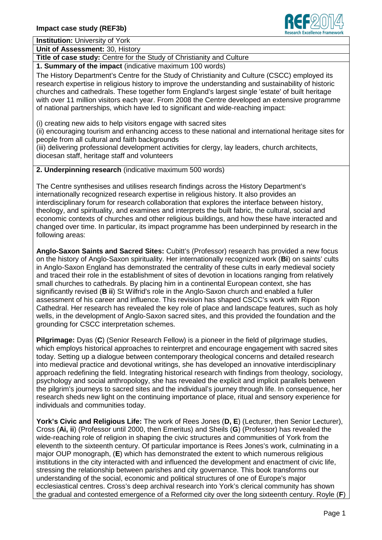

**Institution:** University of York

**Unit of Assessment:** 30, History

**Title of case study:** Centre for the Study of Christianity and Culture

**1. Summary of the impact** (indicative maximum 100 words)

The History Department's Centre for the Study of Christianity and Culture (CSCC) employed its research expertise in religious history to improve the understanding and sustainability of historic churches and cathedrals. These together form England's largest single 'estate' of built heritage with over 11 million visitors each year. From 2008 the Centre developed an extensive programme of national partnerships, which have led to significant and wide-reaching impact:

(i) creating new aids to help visitors engage with sacred sites

(ii) encouraging tourism and enhancing access to these national and international heritage sites for people from all cultural and faith backgrounds

(iii) delivering professional development activities for clergy, lay leaders, church architects, diocesan staff, heritage staff and volunteers

**2. Underpinning research** (indicative maximum 500 words)

The Centre synthesises and utilises research findings across the History Department's internationally recognized research expertise in religious history. It also provides an interdisciplinary forum for research collaboration that explores the interface between history, theology, and spirituality, and examines and interprets the built fabric, the cultural, social and economic contexts of churches and other religious buildings, and how these have interacted and changed over time. In particular, its impact programme has been underpinned by research in the following areas:

**Anglo-Saxon Saints and Sacred Sites:** Cubitt's (Professor) research has provided a new focus on the history of Anglo-Saxon spirituality. Her internationally recognized work (**Bi**) on saints' cults in Anglo-Saxon England has demonstrated the centrality of these cults in early medieval society and traced their role in the establishment of sites of devotion in locations ranging from relatively small churches to cathedrals. By placing him in a continental European context, she has significantly revised (**B ii**) St Wilfrid's role in the Anglo-Saxon church and enabled a fuller assessment of his career and influence. This revision has shaped CSCC's work with Ripon Cathedral. Her research has revealed the key role of place and landscape features, such as holy wells, in the development of Anglo-Saxon sacred sites, and this provided the foundation and the grounding for CSCC interpretation schemes.

**Pilgrimage:** Dyas (**C**) (Senior Research Fellow) is a pioneer in the field of pilgrimage studies, which employs historical approaches to reinterpret and encourage engagement with sacred sites today. Setting up a dialogue between contemporary theological concerns and detailed research into medieval practice and devotional writings, she has developed an innovative interdisciplinary approach redefining the field. Integrating historical research with findings from theology, sociology, psychology and social anthropology, she has revealed the explicit and implicit parallels between the pilgrim's journeys to sacred sites and the individual's journey through life. In consequence, her research sheds new light on the continuing importance of place, ritual and sensory experience for individuals and communities today.

**York's Civic and Religious Life:** The work of Rees Jones (**D, E**) (Lecturer, then Senior Lecturer), Cross (**Ai, ii**) (Professor until 2000, then Emeritus) and Sheils (**G**) (Professor) has revealed the wide-reaching role of religion in shaping the civic structures and communities of York from the eleventh to the sixteenth century. Of particular importance is Rees Jones's work, culminating in a major OUP monograph, (**E**) which has demonstrated the extent to which numerous religious institutions in the city interacted with and influenced the development and enactment of civic life, stressing the relationship between parishes and city governance. This book transforms our understanding of the social, economic and political structures of one of Europe's major ecclesiastical centres. Cross's deep archival research into York's clerical community has shown the gradual and contested emergence of a Reformed city over the long sixteenth century. Royle (**F**)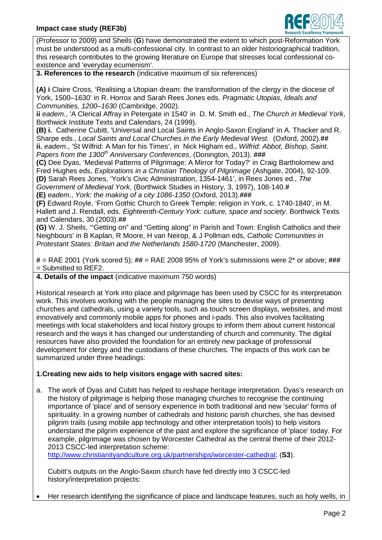

(Professor to 2009) and Sheils (**G**) have demonstrated the extent to which post-Reformation York must be understood as a multi-confessional city. In contrast to an older historiographical tradition, this research contributes to the growing literature on Europe that stresses local confessional coexistence and 'everyday ecumenism'.

**3. References to the research** (indicative maximum of six references)

**(A) i** Claire Cross, 'Realising a Utopian dream: the transformation of the clergy in the diocese of York, 1500–1630' in R. Horrox and Sarah Rees Jones eds. *Pragmatic Utopias, Ideals and Communities, 1200–1630* (Cambridge, 2002).

**ii** *eadem*., 'A Clerical Affray in Petergate in 1540' in D. M. Smith ed., *The Church in Medieval York*, Borthwick Institute Texts and Calendars, 24 (1999).

**(B) i.** Catherine Cubitt, 'Universal and Local Saints in Anglo-Saxon England' in A. Thacker and R. Sharpe eds., *Local Saints and Local Churches in the Early Medieval West.* (Oxford, 2002).**## ii.** *eadem*., 'St Wilfrid: A Man for his Times', in Nick Higham ed., *Wilfrid: Abbot, Bishop, Saint*. *Papers from the 1300th Anniversary Conferences*, (Donington, 2013). **###**

**(C)** Dee Dyas, 'Medieval Patterns of Pilgrimage: A Mirror for Today?' in Craig Bartholomew and Fred Hughes eds, *Explorations in a Christian Theology of Pilgrimage* (Ashgate, 2004), 92-109. **(D)** Sarah Rees Jones, 'York's Civic Administration, 1354-1461', in Rees Jones ed., *The*

*Government of Medieval York*, (Borthwick Studies in History, 3, 1997), 108-140.**#**

**(E)** *eadem*., *York: the making of a city 1086-1350* (Oxford, 2013).**###**

**(F)** Edward Royle, 'From Gothic Church to Greek Temple: religion in York, c. 1740-1840', in M. Hallett and J. Rendall, eds. *Eighteenth-Century York: culture, space and society*. Borthwick Texts and Calendars, 30 (2003).**##**

**(G)** W. J. Sheils, '"Getting on" and "Getting along" in Parish and Town: English Catholics and their Neighbours' in B Kaplan, R Moore, H van Neirop, & J Pollman eds, *Catholic Communities in Protestant States: Britain and the Netherlands 1580-1720* (Manchester, 2009).

**#** = RAE 2001 (York scored 5); **##** = RAE 2008 95% of York's submissions were 2\* or above; **###** = Submitted to REF2.

**4. Details of the impact** (indicative maximum 750 words)

Historical research at York into place and pilgrimage has been used by CSCC for its interpretation work. This involves working with the people managing the sites to devise ways of presenting churches and cathedrals, using a variety tools, such as touch screen displays, websites, and most innovatively and commonly mobile apps for phones and i-pads. This also involves facilitating meetings with local stakeholders and local history groups to inform them about current historical research and the ways it has changed our understanding of church and community. The digital resources have also provided the foundation for an entirely new package of professional development for clergy and the custodians of these churches. The impacts of this work can be summarized under three headings:

## **1.Creating new aids to help visitors engage with sacred sites:**

a. The work of Dyas and Cubitt has helped to reshape heritage interpretation. Dyas's research on the history of pilgrimage is helping those managing churches to recognise the continuing importance of 'place' and of sensory experience in both traditional and new 'secular' forms of spirituality. In a growing number of cathedrals and historic parish churches, she has devised pilgrim trails (using mobile app technology and other interpretation tools) to help visitors understand the pilgrim experience of the past and explore the significance of 'place' today. For example, pilgrimage was chosen by Worcester Cathedral as the central theme of their 2012- 2013 CSCC-led interpretation scheme:

<http://www.christianityandculture.org.uk/partnerships/worcester-cathedral>; (**S3**).

Cubitt's outputs on the Anglo-Saxon church have fed directly into 3 CSCC-led history/interpretation projects:

Her research identifying the significance of place and landscape features, such as holy wells, in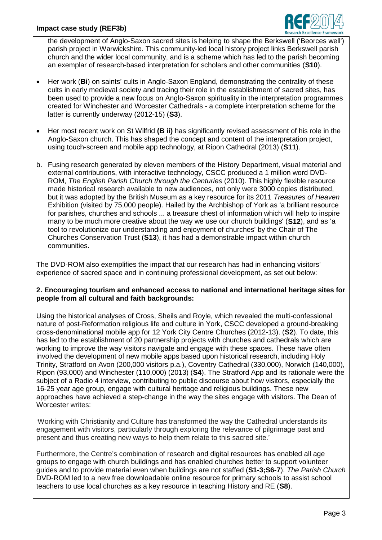

the development of Anglo-Saxon sacred sites is helping to shape the Berkswell ('Beorces well') parish project in Warwickshire. This community-led local history project links Berkswell parish church and the wider local community, and is a scheme which has led to the parish becoming an exemplar of research-based interpretation for scholars and other communities (**S10**).

- Her work (**Bi**) on saints' cults in Anglo-Saxon England, demonstrating the centrality of these cults in early medieval society and tracing their role in the establishment of sacred sites, has been used to provide a new focus on Anglo-Saxon spirituality in the interpretation programmes created for Winchester and Worcester Cathedrals - a complete interpretation scheme for the latter is currently underway (2012-15) (**S3**).
- Her most recent work on St Wilfrid **(B ii)** has significantly revised assessment of his role in the Anglo-Saxon church. This has shaped the concept and content of the interpretation project, using touch-screen and mobile app technology, at Ripon Cathedral (2013) (**S11**).
- b. Fusing research generated by eleven members of the History Department, visual material and external contributions, with interactive technology, CSCC produced a 1 million word DVD-ROM, *The English Parish Church through the Centuries* (2010). This highly flexible resource made historical research available to new audiences, not only were 3000 copies distributed, but it was adopted by the British Museum as a key resource for its 2011 *Treasures of Heaven* Exhibition (visited by 75,000 people). Hailed by the Archbishop of York as 'a brilliant resource for parishes, churches and schools ... a treasure chest of information which will help to inspire many to be much more creative about the way we use our church buildings' (**S12**), and as 'a tool to revolutionize our understanding and enjoyment of churches' by the Chair of The Churches Conservation Trust (**S13**), it has had a demonstrable impact within church communities.

The DVD-ROM also exemplifies the impact that our research has had in enhancing visitors' experience of sacred space and in continuing professional development, as set out below:

## **2. Encouraging tourism and enhanced access to national and international heritage sites for people from all cultural and faith backgrounds:**

Using the historical analyses of Cross, Sheils and Royle, which revealed the multi-confessional nature of post-Reformation religious life and culture in York, CSCC developed a ground-breaking cross-denominational mobile app for 12 York City Centre Churches (2012-13). (**S2**). To date, this has led to the establishment of 20 partnership projects with churches and cathedrals which are working to improve the way visitors navigate and engage with these spaces. These have often involved the development of new mobile apps based upon historical research, including Holy Trinity, Stratford on Avon (200,000 visitors p.a.), Coventry Cathedral (330,000), Norwich (140,000), Ripon (93,000) and Winchester (110,000) (2013) (**S4**). The Stratford App and its rationale were the subject of a Radio 4 interview, contributing to public discourse about how visitors, especially the 16-25 year age group, engage with cultural heritage and religious buildings. These new approaches have achieved a step-change in the way the sites engage with visitors. The Dean of Worcester writes:

'Working with Christianity and Culture has transformed the way the Cathedral understands its engagement with visitors, particularly through exploring the relevance of pilgrimage past and present and thus creating new ways to help them relate to this sacred site.'

Furthermore, the Centre's combination of research and digital resources has enabled all age groups to engage with church buildings and has enabled churches better to support volunteer guides and to provide material even when buildings are not staffed (**S1-3;S6-7**). *The Parish Church* DVD-ROM led to a new free downloadable online resource for primary schools to assist school teachers to use local churches as a key resource in teaching History and RE (**S8**).